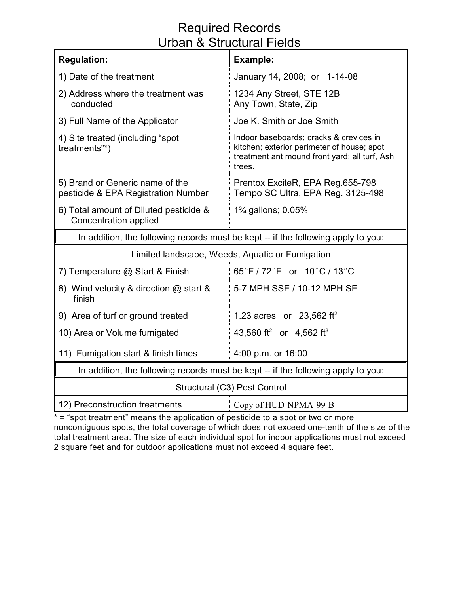## Required Records Urban & Structural Fields

| <b>Regulation:</b>                                                                | <b>Example:</b>                                                                                                                                  |  |  |  |  |  |
|-----------------------------------------------------------------------------------|--------------------------------------------------------------------------------------------------------------------------------------------------|--|--|--|--|--|
| 1) Date of the treatment                                                          | January 14, 2008; or 1-14-08                                                                                                                     |  |  |  |  |  |
| 2) Address where the treatment was<br>conducted                                   | 1234 Any Street, STE 12B<br>Any Town, State, Zip                                                                                                 |  |  |  |  |  |
| 3) Full Name of the Applicator                                                    | Joe K. Smith or Joe Smith                                                                                                                        |  |  |  |  |  |
| 4) Site treated (including "spot<br>treatments"*)                                 | Indoor baseboards; cracks & crevices in<br>kitchen; exterior perimeter of house; spot<br>treatment ant mound front yard; all turf, Ash<br>trees. |  |  |  |  |  |
| 5) Brand or Generic name of the<br>pesticide & EPA Registration Number            | Prentox ExciteR, EPA Reg.655-798<br>Tempo SC Ultra, EPA Reg. 3125-498                                                                            |  |  |  |  |  |
| 6) Total amount of Diluted pesticide &<br>Concentration applied                   | 1 <sup>3</sup> / <sub>4</sub> gallons; 0.05%                                                                                                     |  |  |  |  |  |
| In addition, the following records must be kept -- if the following apply to you: |                                                                                                                                                  |  |  |  |  |  |
| Limited landscape, Weeds, Aquatic or Fumigation                                   |                                                                                                                                                  |  |  |  |  |  |
| 7) Temperature @ Start & Finish                                                   | $65^{\circ}$ F / 72 $^{\circ}$ F or 10 $^{\circ}$ C / 13 $^{\circ}$ C                                                                            |  |  |  |  |  |
| 8) Wind velocity & direction @ start &<br>finish                                  | 5-7 MPH SSE / 10-12 MPH SE                                                                                                                       |  |  |  |  |  |
| 9) Area of turf or ground treated                                                 | 1.23 acres or 23,562 ft <sup>2</sup>                                                                                                             |  |  |  |  |  |
| 10) Area or Volume fumigated                                                      | 43,560 ft <sup>2</sup> or 4,562 ft <sup>3</sup>                                                                                                  |  |  |  |  |  |
| 11) Fumigation start & finish times                                               | 4:00 p.m. or 16:00                                                                                                                               |  |  |  |  |  |
| In addition, the following records must be kept -- if the following apply to you: |                                                                                                                                                  |  |  |  |  |  |
| Structural (C3) Pest Control                                                      |                                                                                                                                                  |  |  |  |  |  |
| 12) Preconstruction treatments<br>Copy of HUD-NPMA-99-B                           |                                                                                                                                                  |  |  |  |  |  |

\* = "spot treatment" means the application of pesticide to a spot or two or more noncontiguous spots, the total coverage of which does not exceed one-tenth of the size of the total treatment area. The size of each individual spot for indoor applications must not exceed 2 square feet and for outdoor applications must not exceed 4 square feet.